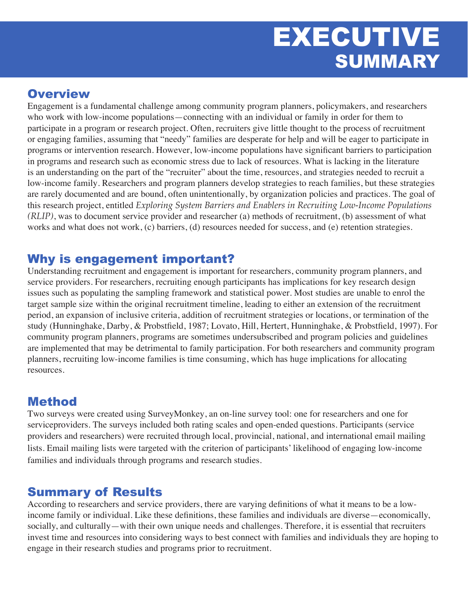# EXECUTIVE SUMMARY

## **Overview**

Engagement is a fundamental challenge among community program planners, policymakers, and researchers who work with low-income populations—connecting with an individual or family in order for them to participate in a program or research project. Often, recruiters give little thought to the process of recruitment or engaging families, assuming that "needy" families are desperate for help and will be eager to participate in programs or intervention research. However, low-income populations have significant barriers to participation in programs and research such as economic stress due to lack of resources. What is lacking in the literature is an understanding on the part of the "recruiter" about the time, resources, and strategies needed to recruit a low-income family. Researchers and program planners develop strategies to reach families, but these strategies are rarely documented and are bound, often unintentionally, by organization policies and practices. The goal of this research project, entitled *Exploring System Barriers and Enablers in Recruiting Low-Income Populations (RLIP)*, was to document service provider and researcher (a) methods of recruitment, (b) assessment of what works and what does not work, (c) barriers, (d) resources needed for success, and (e) retention strategies.

## Why is engagement important?

Understanding recruitment and engagement is important for researchers, community program planners, and service providers. For researchers, recruiting enough participants has implications for key research design issues such as populating the sampling framework and statistical power. Most studies are unable to enrol the target sample size within the original recruitment timeline, leading to either an extension of the recruitment period, an expansion of inclusive criteria, addition of recruitment strategies or locations, or termination of the study (Hunninghake, Darby, & Probstfield, 1987; Lovato, Hill, Hertert, Hunninghake, & Probstfield, 1997). For community program planners, programs are sometimes undersubscribed and program policies and guidelines are implemented that may be detrimental to family participation. For both researchers and community program planners, recruiting low-income families is time consuming, which has huge implications for allocating resources.

### Method

Two surveys were created using SurveyMonkey, an on-line survey tool: one for researchers and one for serviceproviders. The surveys included both rating scales and open-ended questions. Participants (service providers and researchers) were recruited through local, provincial, national, and international email mailing lists. Email mailing lists were targeted with the criterion of participants' likelihood of engaging low-income families and individuals through programs and research studies.

### Summary of Results

According to researchers and service providers, there are varying definitions of what it means to be a lowincome family or individual. Like these definitions, these families and individuals are diverse—economically, socially, and culturally—with their own unique needs and challenges. Therefore, it is essential that recruiters invest time and resources into considering ways to best connect with families and individuals they are hoping to engage in their research studies and programs prior to recruitment.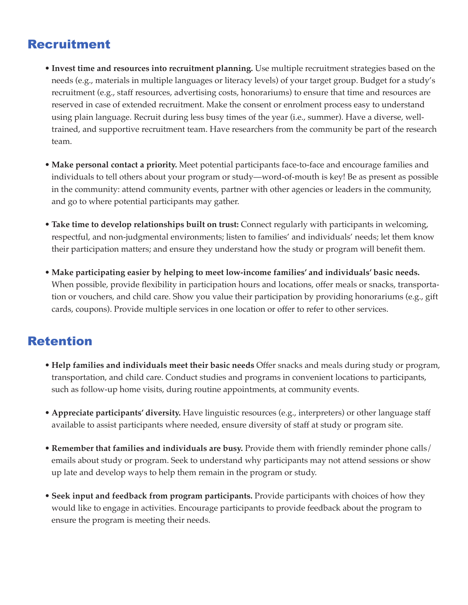## Recruitment

- • **Invest time and resources into recruitment planning.** Use multiple recruitment strategies based on the needs (e.g., materials in multiple languages or literacy levels) of your target group. Budget for a study's recruitment (e.g., staff resources, advertising costs, honorariums) to ensure that time and resources are reserved in case of extended recruitment. Make the consent or enrolment process easy to understand using plain language. Recruit during less busy times of the year (i.e., summer). Have a diverse, welltrained, and supportive recruitment team. Have researchers from the community be part of the research team.
- • **Make personal contact a priority.** Meet potential participants face-to-face and encourage families and individuals to tell others about your program or study—word-of-mouth is key! Be as present as possible in the community: attend community events, partner with other agencies or leaders in the community, and go to where potential participants may gather.
- • **Take time to develop relationships built on trust:** Connect regularly with participants in welcoming, respectful, and non-judgmental environments; listen to families' and individuals' needs; let them know their participation matters; and ensure they understand how the study or program will benefit them.
- • **Make participating easier by helping to meet low-income families' and individuals' basic needs.** When possible, provide flexibility in participation hours and locations, offer meals or snacks, transportation or vouchers, and child care. Show you value their participation by providing honorariums (e.g., gift cards, coupons). Provide multiple services in one location or offer to refer to other services.

## Retention

- • **Help families and individuals meet their basic needs** Offer snacks and meals during study or program, transportation, and child care. Conduct studies and programs in convenient locations to participants, such as follow-up home visits, during routine appointments, at community events.
- • **Appreciate participants' diversity.** Have linguistic resources (e.g., interpreters) or other language staff available to assist participants where needed, ensure diversity of staff at study or program site.
- • **Remember that families and individuals are busy.** Provide them with friendly reminder phone calls/ emails about study or program. Seek to understand why participants may not attend sessions or show up late and develop ways to help them remain in the program or study.
- • **Seek input and feedback from program participants.** Provide participants with choices of how they would like to engage in activities. Encourage participants to provide feedback about the program to ensure the program is meeting their needs.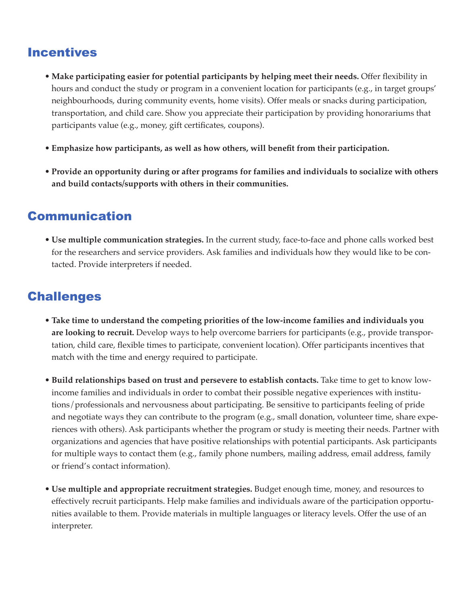### Incentives

- • **Make participating easier for potential participants by helping meet their needs.** Offer flexibility in hours and conduct the study or program in a convenient location for participants (e.g., in target groups' neighbourhoods, during community events, home visits). Offer meals or snacks during participation, transportation, and child care. Show you appreciate their participation by providing honorariums that participants value (e.g., money, gift certificates, coupons).
- • **Emphasize how participants, as well as how others, will benefit from their participation.**
- • **Provide an opportunity during or after programs for families and individuals to socialize with others and build contacts/supports with others in their communities.**

### Communication

• **Use multiple communication strategies.** In the current study, face-to-face and phone calls worked best for the researchers and service providers. Ask families and individuals how they would like to be contacted. Provide interpreters if needed.

## Challenges

- • **Take time to understand the competing priorities of the low-income families and individuals you are looking to recruit.** Develop ways to help overcome barriers for participants (e.g., provide transportation, child care, flexible times to participate, convenient location). Offer participants incentives that match with the time and energy required to participate.
- • **Build relationships based on trust and persevere to establish contacts.** Take time to get to know lowincome families and individuals in order to combat their possible negative experiences with institutions/professionals and nervousness about participating. Be sensitive to participants feeling of pride and negotiate ways they can contribute to the program (e.g., small donation, volunteer time, share experiences with others). Ask participants whether the program or study is meeting their needs. Partner with organizations and agencies that have positive relationships with potential participants. Ask participants for multiple ways to contact them (e.g., family phone numbers, mailing address, email address, family or friend's contact information).
- • **Use multiple and appropriate recruitment strategies.** Budget enough time, money, and resources to effectively recruit participants. Help make families and individuals aware of the participation opportunities available to them. Provide materials in multiple languages or literacy levels. Offer the use of an interpreter.